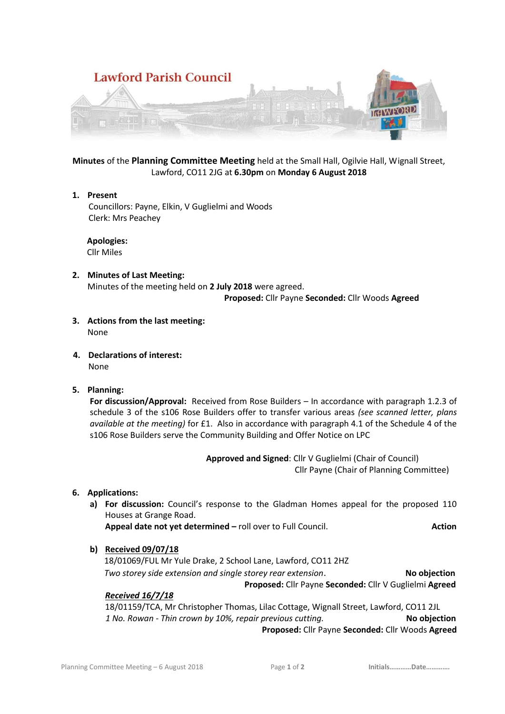

**Minutes** of the **Planning Committee Meeting** held at the Small Hall, Ogilvie Hall, Wignall Street, Lawford, CO11 2JG at **6.30pm** on **Monday 6 August 2018**

**1. Present** Councillors: Payne, Elkin, V Guglielmi and Woods Clerk: Mrs Peachey

 **Apologies:** Cllr Miles

**2. Minutes of Last Meeting:** Minutes of the meeting held on **2 July 2018** were agreed.

 **Proposed:** Cllr Payne **Seconded:** Cllr Woods **Agreed**

- **3. Actions from the last meeting:** None
- **4. Declarations of interest:** None
- **5. Planning:**

**For discussion/Approval:** Received from Rose Builders – In accordance with paragraph 1.2.3 of schedule 3 of the s106 Rose Builders offer to transfer various areas *(see scanned letter, plans available at the meeting)* for £1. Also in accordance with paragraph 4.1 of the Schedule 4 of the s106 Rose Builders serve the Community Building and Offer Notice on LPC

> **Approved and Signed**: Cllr V Guglielmi (Chair of Council) Cllr Payne (Chair of Planning Committee)

**6. Applications:** 

**a) For discussion:** Council's response to the Gladman Homes appeal for the proposed 110 Houses at Grange Road.

**Appeal date not yet determined –** roll over to Full Council. **Action**

**b) Received 09/07/18**

18/01069/FUL Mr Yule Drake, 2 School Lane, Lawford, CO11 2HZ *Two storey side extension and single storey rear extension*. **No objection**

 **Proposed:** Cllr Payne **Seconded:** Cllr V Guglielmi **Agreed**

### *Received 16/7/18*

18/01159/TCA, Mr Christopher Thomas, Lilac Cottage, Wignall Street, Lawford, CO11 2JL  *1 No. Rowan - Thin crown by 10%, repair previous cutting.* **No objection**

**Proposed:** Cllr Payne **Seconded:** Cllr Woods **Agreed**